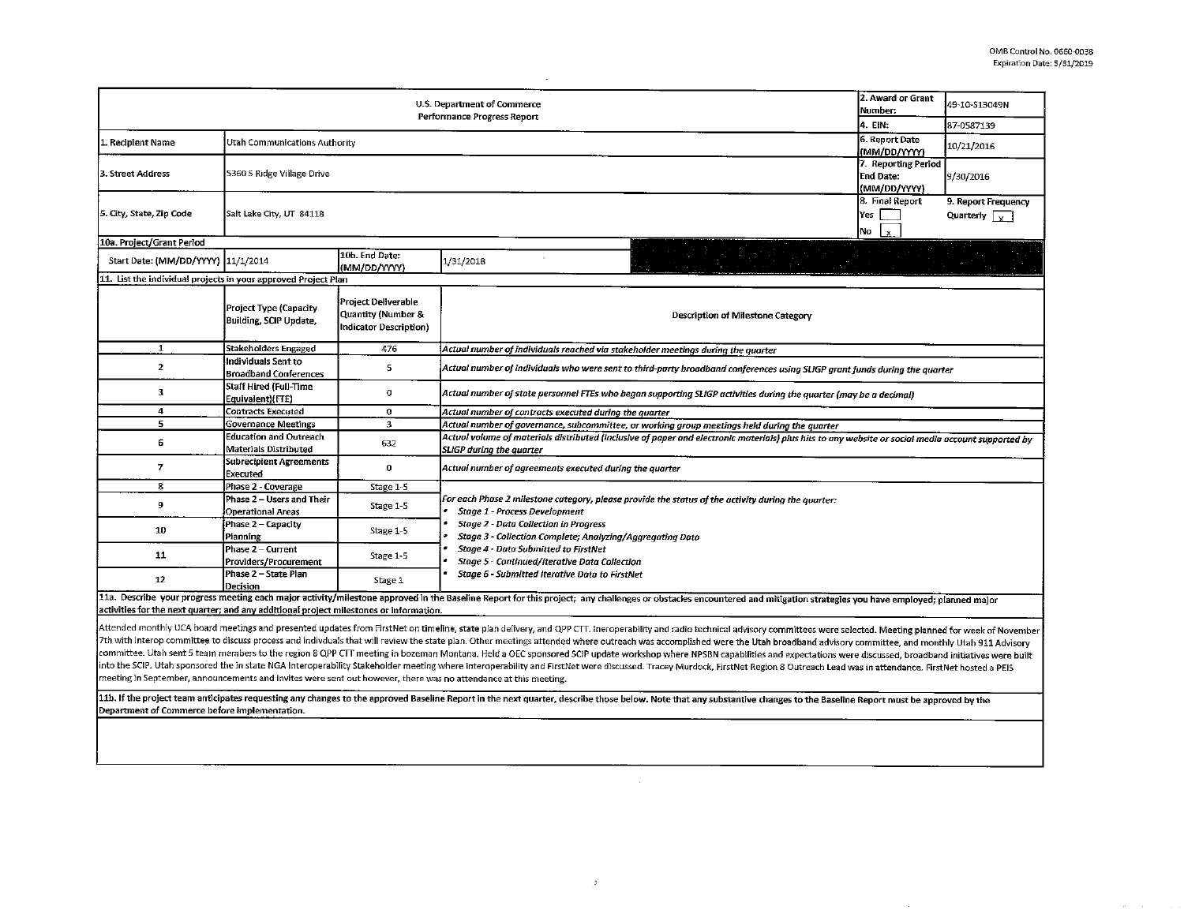$\sim$ 

 $\sim 10^{-1}$ 

| 2. Award or Grant<br>U.S. Department of Commerce<br>Number:<br>Performance Progress Report<br>4. EIN: |                                                                                        |                                                                                                                        |                                                                                                                                                                                                                        |     | 49-10-S13049N |  |  |  |  |  |
|-------------------------------------------------------------------------------------------------------|----------------------------------------------------------------------------------------|------------------------------------------------------------------------------------------------------------------------|------------------------------------------------------------------------------------------------------------------------------------------------------------------------------------------------------------------------|-----|---------------|--|--|--|--|--|
|                                                                                                       |                                                                                        |                                                                                                                        |                                                                                                                                                                                                                        |     | 87-0587139    |  |  |  |  |  |
| 1. Recipient Name                                                                                     | Utah Communications Authority                                                          | 6. Report Date<br>(MM/DD/YYYY)<br>7. Reporting Period                                                                  | 10/21/2016                                                                                                                                                                                                             |     |               |  |  |  |  |  |
| l3. Street Address                                                                                    | 5360 S Ridge Village Drive                                                             | <b>End Date:</b><br>(MM/DD/YYYY)                                                                                       |                                                                                                                                                                                                                        |     |               |  |  |  |  |  |
| 5. City, State, Zip Code                                                                              | Salt Lake City, UT 84118                                                               | 8. Final Report<br>Yes<br>No                                                                                           |                                                                                                                                                                                                                        |     |               |  |  |  |  |  |
| 10a. Project/Grant Period                                                                             |                                                                                        |                                                                                                                        |                                                                                                                                                                                                                        | Lx. |               |  |  |  |  |  |
| Start Date: (MM/DD/YYYY) 11/1/2014                                                                    |                                                                                        | 10b. End Date:<br>(MM/DD/YYYY)                                                                                         | 1/31/2018                                                                                                                                                                                                              |     |               |  |  |  |  |  |
|                                                                                                       | 11. List the individual projects in your approved Project Plan                         |                                                                                                                        |                                                                                                                                                                                                                        |     |               |  |  |  |  |  |
|                                                                                                       | Project Type (Capacity<br>Building, SCIP Update,                                       | Project Deliverable<br>Quantity (Number &<br>Indicator Description)                                                    | Description of Milestone Category                                                                                                                                                                                      |     |               |  |  |  |  |  |
| 1                                                                                                     | <b>Stakeholders Engaged</b>                                                            | 476                                                                                                                    | Actual number of individuals reached via stakeholder meetings during the quarter                                                                                                                                       |     |               |  |  |  |  |  |
| $\overline{2}$                                                                                        | Individuals Sent to<br><b>Broadband Conferences</b>                                    | 5                                                                                                                      | Actual number of individuals who were sent to third-party broadband conferences using SLIGP grant funds during the quarter                                                                                             |     |               |  |  |  |  |  |
| 3                                                                                                     | Staff Hired (Full-Time<br>Equivalent)(FTE)                                             | 0<br>Actual number of state personnel FTEs who began supporting SLIGP activities during the quarter (may be a decimal) |                                                                                                                                                                                                                        |     |               |  |  |  |  |  |
| 4                                                                                                     | <b>Contracts Executed</b>                                                              | 0                                                                                                                      | Actual number of contracts executed during the quarter                                                                                                                                                                 |     |               |  |  |  |  |  |
| 5.                                                                                                    | <b>Governance Meetings</b>                                                             | $\overline{\mathbf{3}}$                                                                                                | Actual number of governance, subcommittee, or working group meetings held during the quarter                                                                                                                           |     |               |  |  |  |  |  |
| 6                                                                                                     | <b>Education and Outreach</b><br>Materials Distributed                                 | 632                                                                                                                    | Actual volume of materials distributed (inclusive of paper and electronic materials) plus hits to any website or social media account supported by<br>SLIGP during the quarter                                         |     |               |  |  |  |  |  |
| $\overline{7}$                                                                                        | <b>Subrecipient Agreements</b><br>Executed                                             | 0                                                                                                                      | Actual number of agreements executed during the quarter                                                                                                                                                                |     |               |  |  |  |  |  |
| 8                                                                                                     | Phase 2 - Coverage                                                                     | Stage 1-5                                                                                                              |                                                                                                                                                                                                                        |     |               |  |  |  |  |  |
| 9                                                                                                     | Phase 2 - Users and Their<br>Operational Areas                                         | Stage 1-5                                                                                                              | For each Phase 2 milestone category, please provide the status of the activity during the quarter:<br>Stage 1 - Process Development                                                                                    |     |               |  |  |  |  |  |
| 10                                                                                                    | Phase 2 - Capacity<br>Planning                                                         | Stage 1-5                                                                                                              | <b>Stage 2 - Data Collection in Progress</b><br>Stage 3 - Collection Complete; Analyzing/Aggregating Data<br>Stage 4 - Data Submitted to FirstNet<br>Stage 5 - Cantinued/Iterative Data Collection                     |     |               |  |  |  |  |  |
| 11                                                                                                    | Phase 2 - Current<br>Providers/Procurement                                             | Stage 1-5                                                                                                              |                                                                                                                                                                                                                        |     |               |  |  |  |  |  |
| 12                                                                                                    | Phase 2 - State Plan<br>Decision                                                       | Stage 1                                                                                                                | Stage 6 - Submitted Iterative Data to FirstNet                                                                                                                                                                         |     |               |  |  |  |  |  |
|                                                                                                       | activities for the next quarter; and any additional project milestones or information. |                                                                                                                        | 11a. Describe your progress meeting each major activity/milestone approved in the Baseline Report for this project; any challenges or obstacles encountered and mitigation strategies you have employed; planned major |     |               |  |  |  |  |  |

7th with interop committee to discuss process and indivduals that will review the state plan. Other meetings attended where outreach was accomplished were the Utah broadband advisory committee, and monthly Utah 911 Advisor committee. Utah sent 5 team members to the region 8 QPP CTT meeting in bozeman Montana. Held a OEC sponsored SCIP update workshop where NPSBN capabilities and expectations were discussed, broadband initiatives were built into the SCIP. Utah sponsored the in state NGA Interoperability Stakeholder meeting where interoperability and FirstNet were discussed. Tracey Murdock, FirstNet Region 8 Outreach Lead was in attendance. FirstNet hosted a P meeting in September, announcements and invites were sent out however, there was no attendance at this meeting.

 $\geq$ 

11b. If the project team anticipates requesting any changes to the approved Baseline Report in the next quarter, describe those below. Note that any substantive changes to the Baseline Report must be approved by the Department of Commerce before implementation.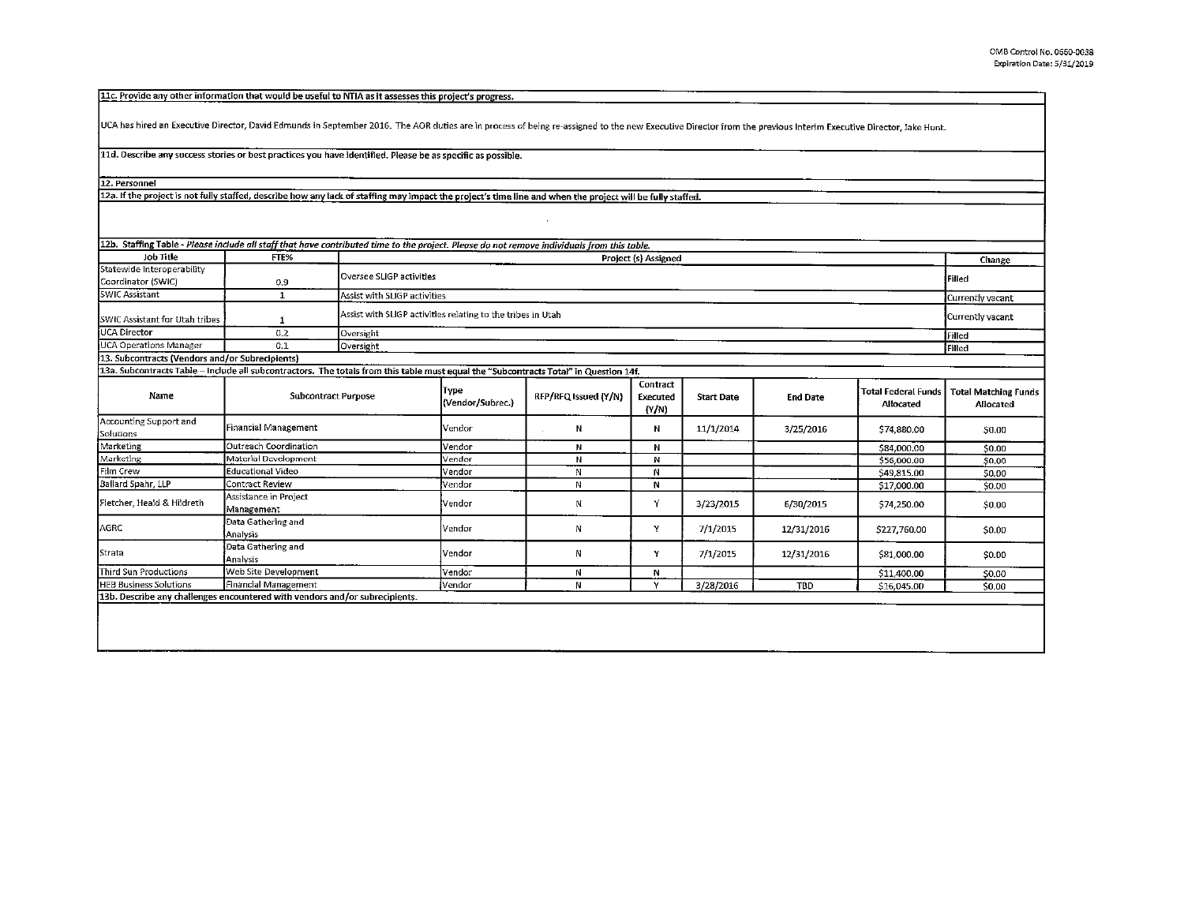11c. Provide any other information that would be useful to NTIA as it assesses this project's progress.

UCA has hired an Executive Director, David Edmunds in September 2016. The AOR duties are in process of being re-assigned to the new Executive Director from the previous Interim Executive Director, Jake Hunt.

## 11d. Describe any success stories or best practices you have identified. Please be as specific as possible.

12. Personnel

12a. If the project is not fully staffed, describe how any lack of staffing may impact the project's time line and when the project will be fully staffed.

| 12b. Staffing Table - Please include all staff that have contributed time to the project. Please do not remove individuals from this table. |                              |                            |                                                                                 |                      |                                      |                   |                 |                                         |                                          |  |
|---------------------------------------------------------------------------------------------------------------------------------------------|------------------------------|----------------------------|---------------------------------------------------------------------------------|----------------------|--------------------------------------|-------------------|-----------------|-----------------------------------------|------------------------------------------|--|
| Job Title                                                                                                                                   | FTE%                         |                            | Project (s) Assigned                                                            |                      |                                      |                   |                 |                                         |                                          |  |
| Statewide Interoperability<br>Coordinator (SWIC)                                                                                            | 0.9                          |                            | Oversee SLIGP activities<br>Filed                                               |                      |                                      |                   |                 |                                         |                                          |  |
| <b>SWIC Assistant</b>                                                                                                                       |                              |                            | Assist with SLIGP activities<br>Currently vacant                                |                      |                                      |                   |                 |                                         |                                          |  |
| SWIC Assistant for Utah tribes                                                                                                              |                              |                            | Assist with SLIGP activities relating to the tribes in Utah<br>Currently vacant |                      |                                      |                   |                 |                                         |                                          |  |
| UCA Director                                                                                                                                | 0.2                          | Oversight                  | Filled                                                                          |                      |                                      |                   |                 |                                         |                                          |  |
| UCA Operations Manager                                                                                                                      | 0.1                          | Oversight                  | iFilled                                                                         |                      |                                      |                   |                 |                                         |                                          |  |
| 13. Subcontracts (Vendors and/or Subrecipients)                                                                                             |                              |                            |                                                                                 |                      |                                      |                   |                 |                                         |                                          |  |
| 13a. Subcontracts Table - Include all subcontractors. The totals from this table must equal the "Subcontracts Total" in Question 14f.       |                              |                            |                                                                                 |                      |                                      |                   |                 |                                         |                                          |  |
| Name                                                                                                                                        |                              | <b>Subcontract Purpose</b> | Type<br>(Vendor/Subrec.)                                                        | RFP/RFQ Issued (Y/N) | Contract<br><b>Executed</b><br>(Y/N) | <b>Start Date</b> | <b>End Date</b> | <b>Total Federal Funds</b><br>Allocated | <b>Total Matching Funds</b><br>Allocated |  |
| Accounting Support and<br>Solutions                                                                                                         | Financial Management         |                            | lVendor                                                                         | N                    | Ν                                    | 11/1/2014         | 3/25/2016       | \$74,880.00                             | \$0.00                                   |  |
| Marketing                                                                                                                                   | <b>Outreach Coordination</b> |                            | <i>Nandor</i>                                                                   | м                    | м                                    |                   |                 | CRA BOO AB                              | An on                                    |  |

| Accounting Support and<br>Solutions | Financial Management                                                        | Vendor | Ν | N | 11/1/2014 | 3/25/2016  | \$74,880.00  | \$0.00 |
|-------------------------------------|-----------------------------------------------------------------------------|--------|---|---|-----------|------------|--------------|--------|
| Marketing                           | Outreach Coordination                                                       | Vendor |   |   |           |            | \$84,000.00  | \$0.00 |
| Marketing                           | Material Development                                                        | Vendor |   | N |           |            | \$56,000.00  | \$0.00 |
| Film Crew                           | Educational Video                                                           | Vendor |   | N |           |            | \$49,815.00  | \$0.00 |
| Ballard Spahr, LLP                  | Contract Review                                                             | Vendor | N | N |           |            | \$17,000.00  | \$0.00 |
| Fletcher. Heald & Hildreth          | Assistance in Project<br>Management                                         | Vendor |   |   | 3/23/2015 | 6/30/2015  | \$74,250.00  | \$0.00 |
| AGRC                                | <b>J</b> Data Gathering and<br><b>[Analysis</b>                             | Vendor | N |   | 7/1/2015  | 12/31/2016 | \$227,760.00 | \$0.00 |
| Strata                              | Data Gathering and<br><b>Analysis</b>                                       | Vendor | N |   | 7/1/2015  | 12/31/2016 | \$81,000.00  | \$0.00 |
| <b>Third Sun Productions</b>        | Web Site Development                                                        | Vendor | N | N |           |            | \$11,400.00  | \$0.00 |
| <b>HEB Business Solutions</b>       | Financial Management                                                        | Vendor | N |   | 3/28/2016 | <b>TBD</b> | \$16,045.00  | \$0.00 |
|                                     | 13b. Describe any challenges encountered with vendors and/or subrecipients. |        |   |   |           |            |              |        |
|                                     |                                                                             |        |   |   |           |            |              |        |